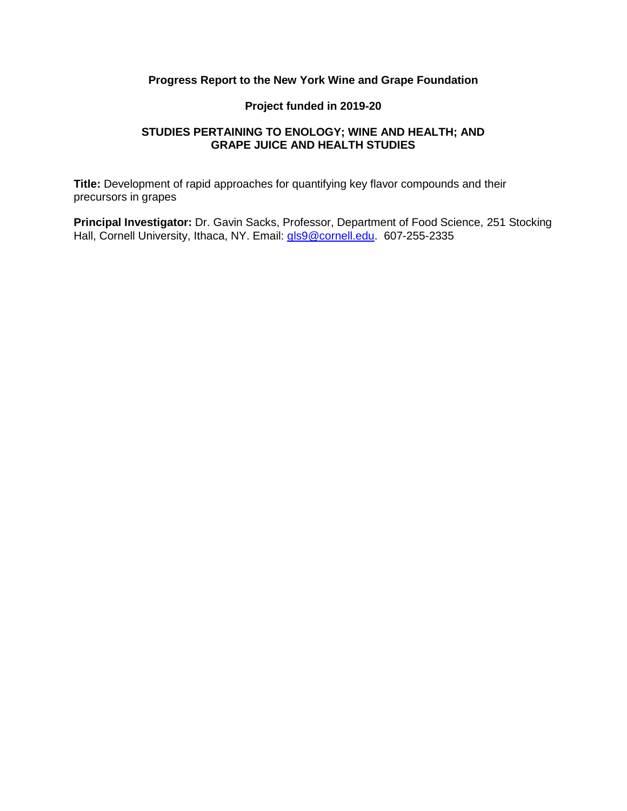# **Progress Report to the New York Wine and Grape Foundation**

# **Project funded in 2019-20**

# **STUDIES PERTAINING TO ENOLOGY; WINE AND HEALTH; AND GRAPE JUICE AND HEALTH STUDIES**

**Title:** Development of rapid approaches for quantifying key flavor compounds and their precursors in grapes

**Principal Investigator:** Dr. Gavin Sacks, Professor, Department of Food Science, 251 Stocking Hall, Cornell University, Ithaca, NY. Email: [gls9@cornell.edu.](mailto:gls9@cornell.edu) 607-255-2335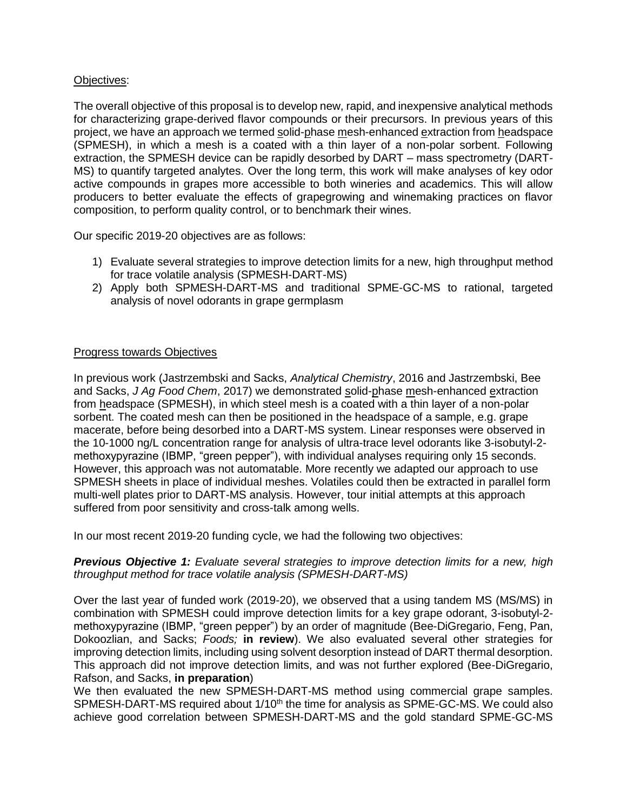## Objectives:

The overall objective of this proposal is to develop new, rapid, and inexpensive analytical methods for characterizing grape-derived flavor compounds or their precursors. In previous years of this project, we have an approach we termed solid-phase mesh-enhanced extraction from headspace (SPMESH), in which a mesh is a coated with a thin layer of a non-polar sorbent. Following extraction, the SPMESH device can be rapidly desorbed by DART – mass spectrometry (DART-MS) to quantify targeted analytes. Over the long term, this work will make analyses of key odor active compounds in grapes more accessible to both wineries and academics. This will allow producers to better evaluate the effects of grapegrowing and winemaking practices on flavor composition, to perform quality control, or to benchmark their wines.

Our specific 2019-20 objectives are as follows:

- 1) Evaluate several strategies to improve detection limits for a new, high throughput method for trace volatile analysis (SPMESH-DART-MS)
- 2) Apply both SPMESH-DART-MS and traditional SPME-GC-MS to rational, targeted analysis of novel odorants in grape germplasm

### Progress towards Objectives

In previous work (Jastrzembski and Sacks, *Analytical Chemistry*, 2016 and Jastrzembski, Bee and Sacks, *J Ag Food Chem*, 2017) we demonstrated solid-phase mesh-enhanced extraction from headspace (SPMESH), in which steel mesh is a coated with a thin layer of a non-polar sorbent. The coated mesh can then be positioned in the headspace of a sample, e.g. grape macerate, before being desorbed into a DART-MS system. Linear responses were observed in the 10-1000 ng/L concentration range for analysis of ultra-trace level odorants like 3-isobutyl-2 methoxypyrazine (IBMP, "green pepper"), with individual analyses requiring only 15 seconds. However, this approach was not automatable. More recently we adapted our approach to use SPMESH sheets in place of individual meshes. Volatiles could then be extracted in parallel form multi-well plates prior to DART-MS analysis. However, tour initial attempts at this approach suffered from poor sensitivity and cross-talk among wells.

In our most recent 2019-20 funding cycle, we had the following two objectives:

### *Previous Objective 1: Evaluate several strategies to improve detection limits for a new, high throughput method for trace volatile analysis (SPMESH-DART-MS)*

Over the last year of funded work (2019-20), we observed that a using tandem MS (MS/MS) in combination with SPMESH could improve detection limits for a key grape odorant, 3-isobutyl-2 methoxypyrazine (IBMP, "green pepper") by an order of magnitude (Bee-DiGregario, Feng, Pan, Dokoozlian, and Sacks; *Foods;* **in review**). We also evaluated several other strategies for improving detection limits, including using solvent desorption instead of DART thermal desorption. This approach did not improve detection limits, and was not further explored (Bee-DiGregario, Rafson, and Sacks, **in preparation**)

We then evaluated the new SPMESH-DART-MS method using commercial grape samples. SPMESH-DART-MS required about 1/10<sup>th</sup> the time for analysis as SPME-GC-MS. We could also achieve good correlation between SPMESH-DART-MS and the gold standard SPME-GC-MS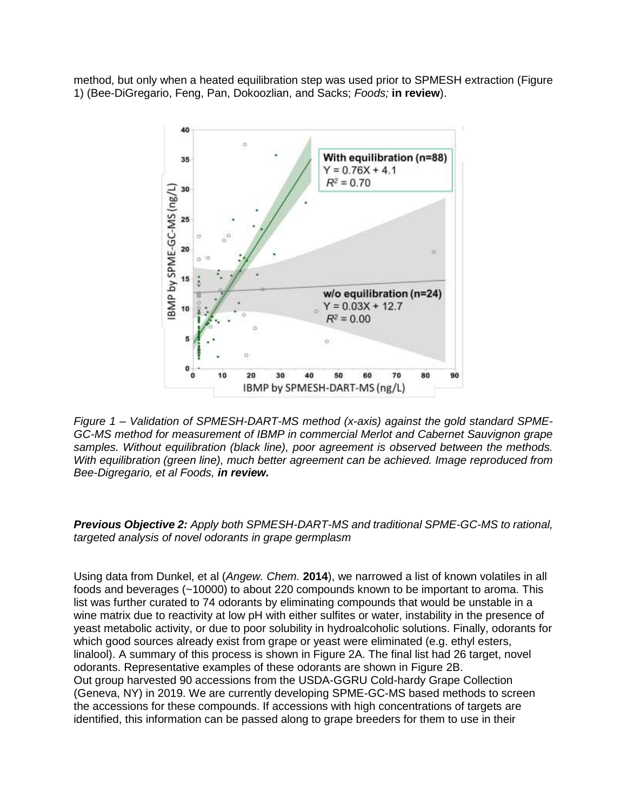method, but only when a heated equilibration step was used prior to SPMESH extraction (Figure 1) (Bee-DiGregario, Feng, Pan, Dokoozlian, and Sacks; *Foods;* **in review**).



*Figure 1 – Validation of SPMESH-DART-MS method (x-axis) against the gold standard SPME-GC-MS method for measurement of IBMP in commercial Merlot and Cabernet Sauvignon grape samples. Without equilibration (black line), poor agreement is observed between the methods. With equilibration (green line), much better agreement can be achieved. Image reproduced from Bee-Digregario, et al Foods, in review.*

*Previous Objective 2: Apply both SPMESH-DART-MS and traditional SPME-GC-MS to rational, targeted analysis of novel odorants in grape germplasm*

Using data from Dunkel, et al (*Angew. Chem.* **2014**), we narrowed a list of known volatiles in all foods and beverages (~10000) to about 220 compounds known to be important to aroma. This list was further curated to 74 odorants by eliminating compounds that would be unstable in a wine matrix due to reactivity at low pH with either sulfites or water, instability in the presence of yeast metabolic activity, or due to poor solubility in hydroalcoholic solutions. Finally, odorants for which good sources already exist from grape or yeast were eliminated (e.g. ethyl esters, linalool). A summary of this process is shown in Figure 2A. The final list had 26 target, novel odorants. Representative examples of these odorants are shown in Figure 2B. Out group harvested 90 accessions from the USDA-GGRU Cold-hardy Grape Collection (Geneva, NY) in 2019. We are currently developing SPME-GC-MS based methods to screen the accessions for these compounds. If accessions with high concentrations of targets are identified, this information can be passed along to grape breeders for them to use in their